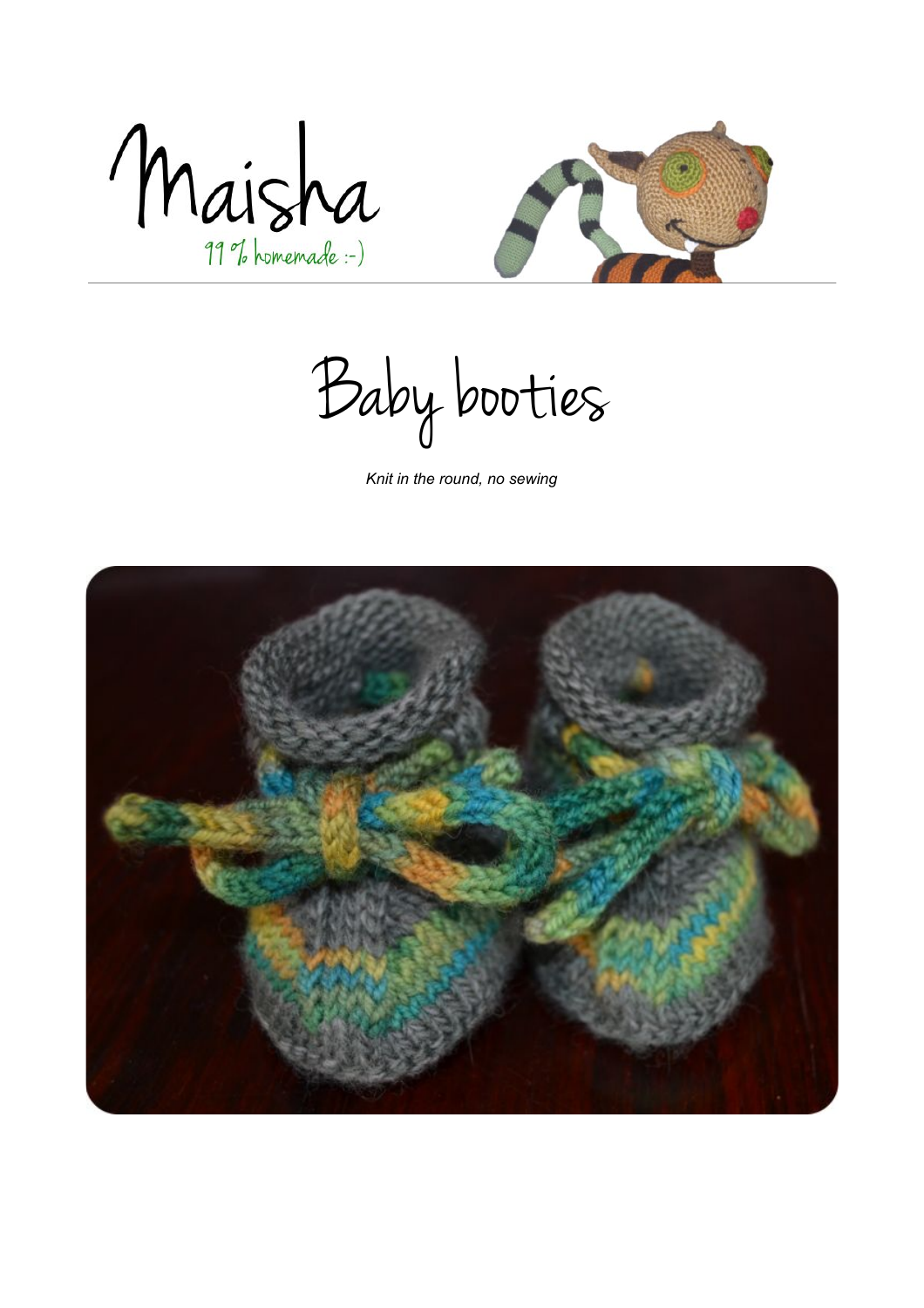Maisha



Baby booties

*Knit in the round, no sewing*

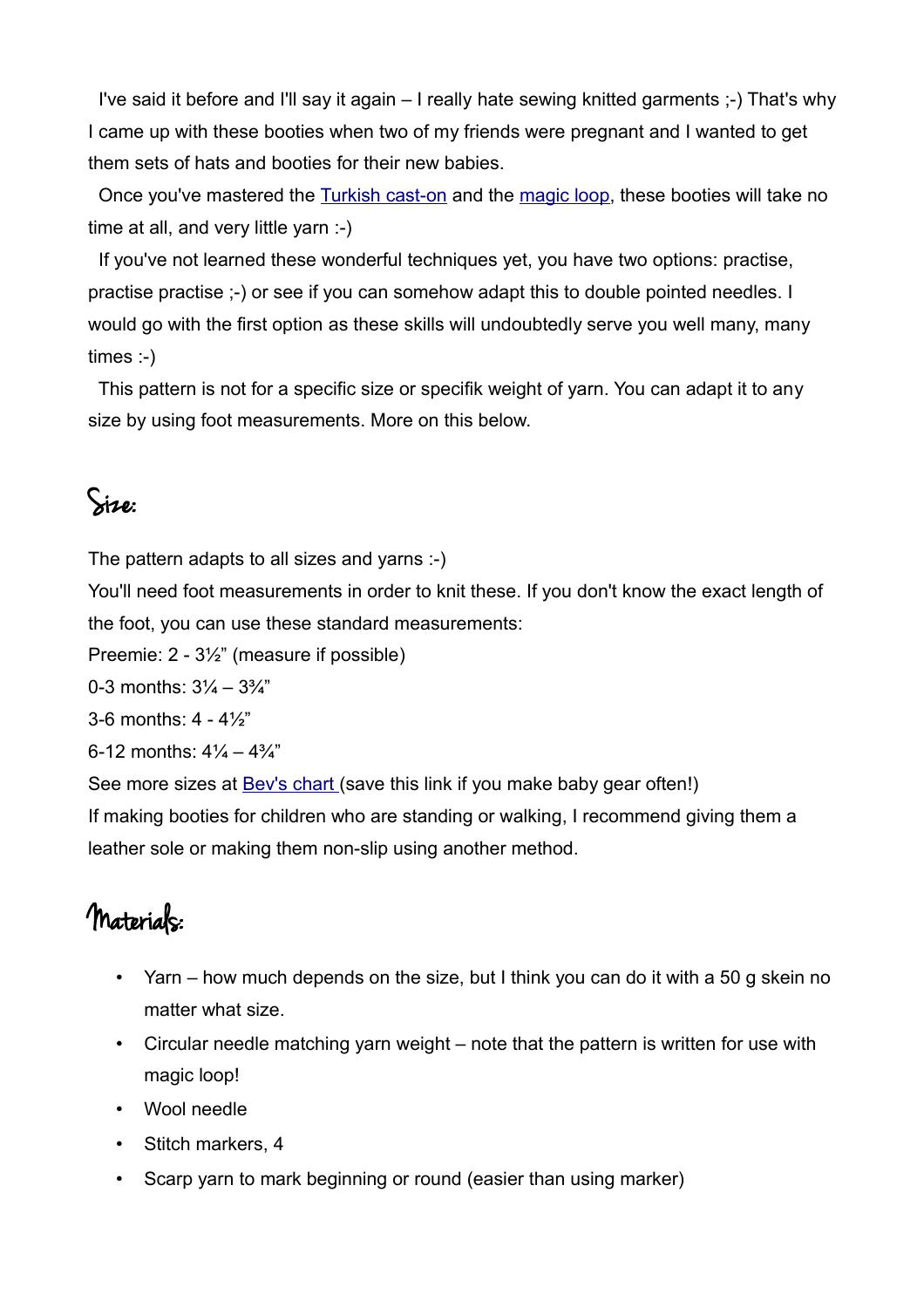I've said it before and I'll say it again – I really hate sewing knitted garments ;-) That's why I came up with these booties when two of my friends were pregnant and I wanted to get them sets of hats and booties for their new babies.

 Once you've mastered the [Turkish cast-on](http://fluffyknitterdeb.blogspot.dk/2005/10/knitting-made-easier-turkish-cast-on.html) and the [magic loop,](http://www.knittinghelp.com/video/play/magic-loop) these booties will take no time at all, and very little yarn :-)

 If you've not learned these wonderful techniques yet, you have two options: practise, practise practise ;-) or see if you can somehow adapt this to double pointed needles. I would go with the first option as these skills will undoubtedly serve you well many, many times :-)

 This pattern is not for a specific size or specifik weight of yarn. You can adapt it to any size by using foot measurements. More on this below.

### Size:

The pattern adapts to all sizes and yarns :-)

You'll need foot measurements in order to knit these. If you don't know the exact length of the foot, you can use these standard measurements:

Preemie: 2 - 3½" (measure if possible)

0-3 months:  $3\frac{1}{4} - 3\frac{3}{4}$ "

3-6 months: 4 - 4½"

6-12 months:  $4\frac{1}{4} - 4\frac{3}{4}$ "

See more sizes at **Bev's chart** (save this link if you make baby gear often!)

If making booties for children who are standing or walking, I recommend giving them a leather sole or making them non-slip using another method.

### Materials:

- Yarn how much depends on the size, but I think you can do it with a 50 g skein no matter what size.
- Circular needle matching yarn weight note that the pattern is written for use with magic loop!
- Wool needle
- Stitch markers, 4
- Scarp yarn to mark beginning or round (easier than using marker)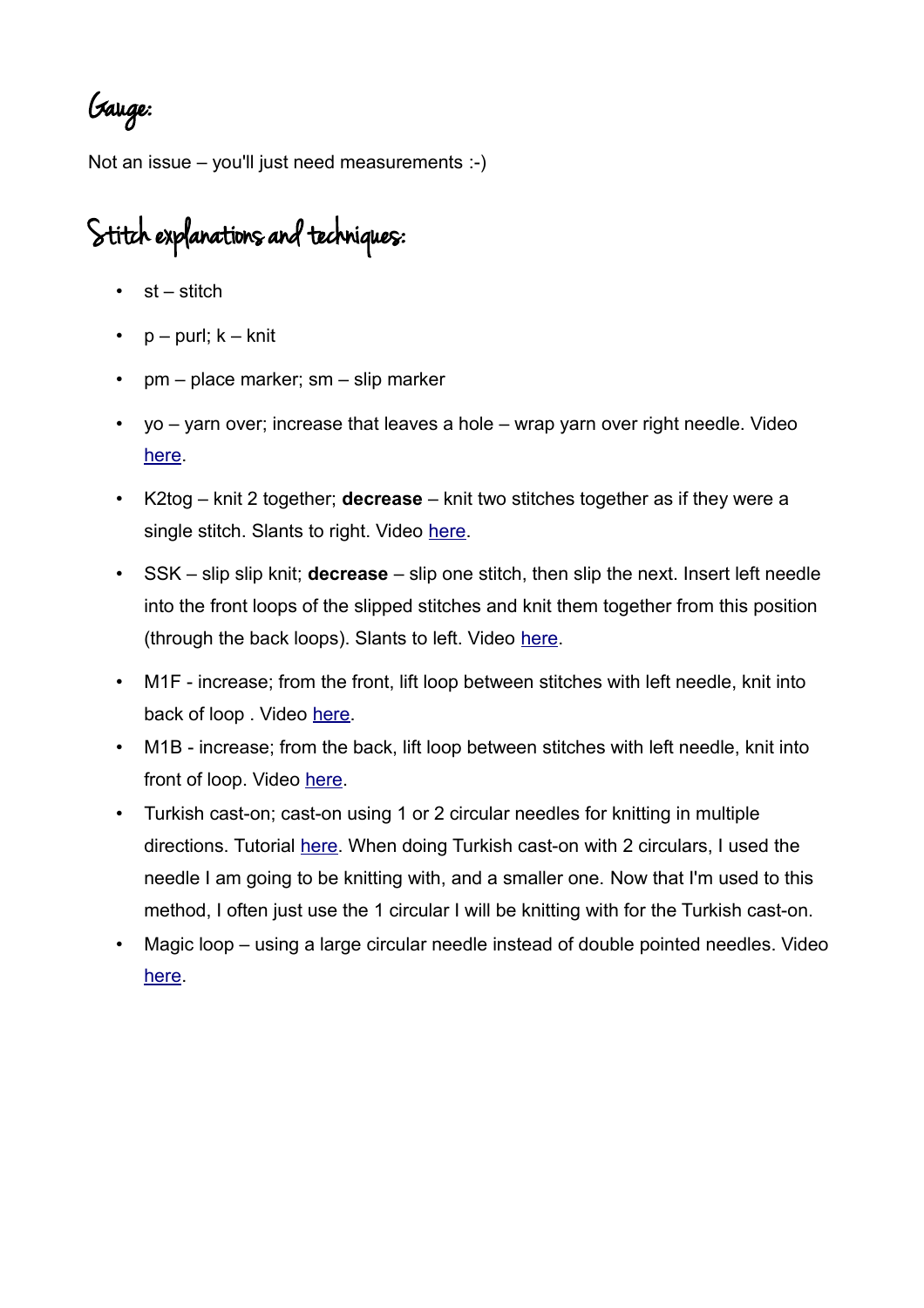Gauge:

Not an issue – you'll just need measurements :-)

# Stitch explanations and techniques:

- $•$  st stitch
- $p -$  purl;  $k -$  knit
- pm place marker; sm slip marker
- yo yarn over; increase that leaves a hole wrap yarn over right needle. Video [here.](http://www.knittinghelp.com/video/play/yarn-over-continental)
- K2tog knit 2 together; **decrease** knit two stitches together as if they were a single stitch. Slants to right. Video [here.](http://www.knittinghelp.com/video/play/knit-2-together-continental)
- SSK slip slip knit; **decrease** slip one stitch, then slip the next. Insert left needle into the front loops of the slipped stitches and knit them together from this position (through the back loops). Slants to left. Video [here.](http://www.knittinghelp.com/video/play/slip-slip-knit-continental)
- M1F increase; from the front, lift loop between stitches with left needle, knit into back of loop. Video [here.](http://www.knittinghelp.com/video/play/make-1-left-continental)
- M1B increase; from the back, lift loop between stitches with left needle, knit into front of loop. Video [here.](http://www.knittinghelp.com/video/play/make-1-right-continental)
- Turkish cast-on; cast-on using 1 or 2 circular needles for knitting in multiple directions. Tutorial [here.](http://fluffyknitterdeb.blogspot.dk/2005/10/knitting-made-easier-turkish-cast-on.html) When doing Turkish cast-on with 2 circulars, I used the needle I am going to be knitting with, and a smaller one. Now that I'm used to this method, I often just use the 1 circular I will be knitting with for the Turkish cast-on.
- Magic loop using a large circular needle instead of double pointed needles. Video [here.](http://www.knittinghelp.com/video/play/magic-loop)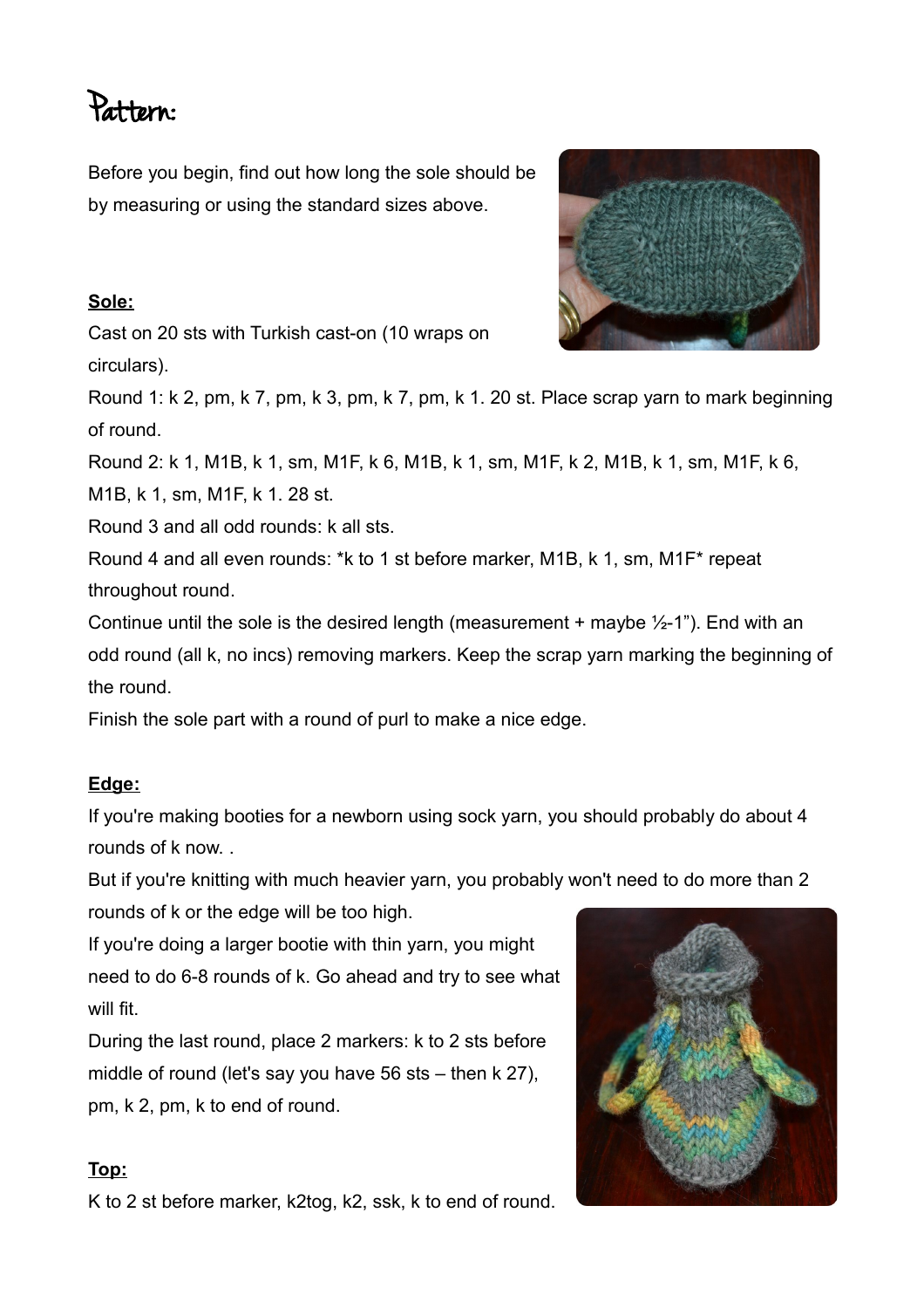## Pattern:

Before you begin, find out how long the sole should be by measuring or using the standard sizes above.

#### **S ole :**

Cast on 20 sts with Turkish cast-on (10 wraps on circulars).



Round 1: k 2, pm, k 7, pm, k 3, pm, k 7, pm, k 1. 20 st. Place scrap yarn to mark beginning of round.

Round 2: k 1, M1B, k 1, sm, M1F, k 6, M1B, k 1, sm, M1F, k 2, M1B, k 1, sm, M1F, k 6,

M1B, k 1, sm, M1F, k 1. 28 st.

Round 3 and all odd rounds: k all sts.

Round 4 and all even rounds: \*k to 1 st before marker, M1B, k 1, sm, M1F\* repeat throughout round.

Continue until the sole is the desired length (measurement + maybe  $\frac{1}{2}$ -1"). End with an odd round (all k, no incs) removing markers. Keep the scrap yarn marking the beginning of the round.

Finish the sole part with a round of purl to make a nice edge.

#### **Edge :**

If you're making booties for a newborn using sock yarn, you should probably do about 4 rounds of k now. .

But if you're knitting with much heavier yarn, you probably won't need to do more than 2 rounds of k or the edge will be too high.

If you're doing a larger bootie with thin yarn, you might need to do 6-8 rounds of k. Go ahead and try to see what will fit.

During the last round, place 2 markers: k to 2 sts before middle of round (let's say you have 56 sts – then k 27), pm, k 2, pm, k to end of round.

#### **Top :**

K to 2 st before marker, k2tog, k2, ssk, k to end of round.